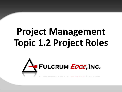# **Project Management Topic 1.2 Project Roles**

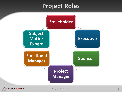#### **Project Roles**



CRUM EDGE, INC.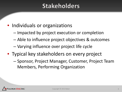#### **Stakeholders**

- Individuals or organizations
	- Impacted by project execution or completion
	- Able to influence project objectives & outcomes
	- Varying influence over project life cycle
- Typical key stakeholders on every project
	- Sponsor, Project Manager, Customer, Project Team Members, Performing Organization

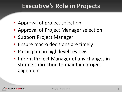#### Executive's Role in Projects

- Approval of project selection
- Approval of Project Manager selection
- Support Project Manager
- Ensure macro decisions are timely
- Participate in high level reviews
- Inform Project Manager of any changes in strategic direction to maintain project alignment

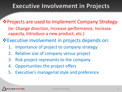# **Executive Involvement in Projects**

- ❖ Projects are used to implement Company Strategy (ie: Change direction, Increase performance, Increase capacity, Introduce a new product, etc.)
- Executive involvement in projects depends on:
	- 1. Importance of project to company strategy
	- 2. Relative size of company versus project
	- 3. Risk project represents to the company
	- 4. Opportunities the project offers
	- 5. Executive's managerial style and preference

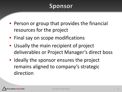# **Sponsor**

- Person or group that provides the financial resources for the project
- Final say on scope modifications
- Usually the main recipient of project deliverables or Project Manager's direct boss
- Ideally the sponsor ensures the project remains aligned to company's strategic direction

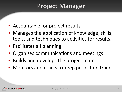# **Project Manager**

- Accountable for project results
- Manages the application of knowledge, skills, tools, and techniques to activities for results.
- Facilitates all planning
- Organizes communications and meetings
- Builds and develops the project team
- Monitors and reacts to keep project on track

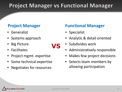#### **Project Manager vs Functional Manager**

VS

- Generalist
- Systems approach
- **Big Picture**
- **Facilitates**
- Project mgmt. expertise
- Some technical expertise
- Negotiates for resources

#### **Project Manager Functional Manager**

- Specialist
- Analytic & detail oriented
- Subdivides work
- Administratively responsible
- Makes few project decisions
- Selects team members by allowing participation

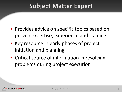#### **Subject Matter Expert**

- Provides advice on specific topics based on proven expertise, experience and training
- Key resource in early phases of project initiation and planning
- Critical source of information in resolving problems during project execution